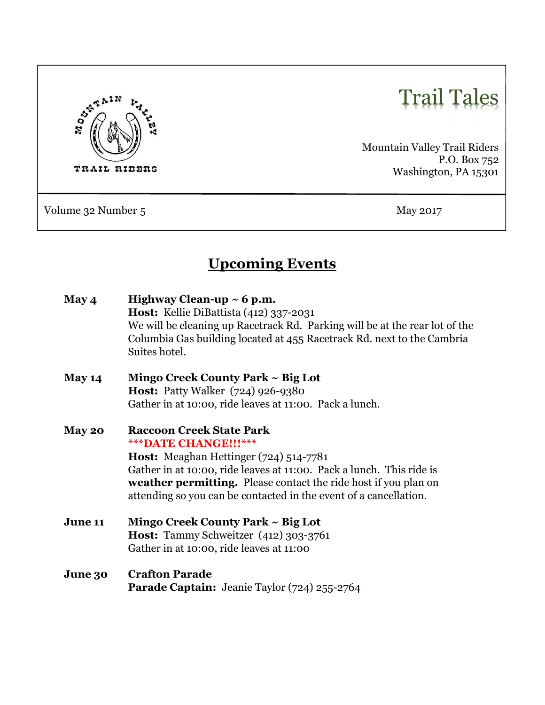

# Trail Tales

Mountain Valley Trail Riders P.O. Box 752 Washington, PA 15301

Volume 32 Number 5 May 2017

## Upcoming Events

| May 4   | Highway Clean-up $\sim$ 6 p.m.<br>Host: Kellie DiBattista (412) 337-2031<br>We will be cleaning up Racetrack Rd. Parking will be at the rear lot of the<br>Columbia Gas building located at 455 Racetrack Rd. next to the Cambria<br>Suites hotel. |
|---------|----------------------------------------------------------------------------------------------------------------------------------------------------------------------------------------------------------------------------------------------------|
| May 14  | Mingo Creek County Park ~ Big Lot                                                                                                                                                                                                                  |
|         | <b>Host:</b> Patty Walker (724) 926-9380                                                                                                                                                                                                           |
|         | Gather in at 10:00, ride leaves at 11:00. Pack a lunch.                                                                                                                                                                                            |
| May 20  | <b>Raccoon Creek State Park</b><br>*** DATE CHANGE!!!***                                                                                                                                                                                           |
|         | Host: Meaghan Hettinger (724) 514-7781                                                                                                                                                                                                             |
|         | Gather in at 10:00, ride leaves at 11:00. Pack a lunch. This ride is                                                                                                                                                                               |
|         | <b>weather permitting.</b> Please contact the ride host if you plan on                                                                                                                                                                             |
|         | attending so you can be contacted in the event of a cancellation.                                                                                                                                                                                  |
| June 11 | Mingo Creek County Park ~ Big Lot                                                                                                                                                                                                                  |
|         | Host: Tammy Schweitzer (412) 303-3761                                                                                                                                                                                                              |
|         | Gather in at 10:00, ride leaves at 11:00                                                                                                                                                                                                           |
| June 30 | <b>Crafton Parade</b><br><b>Parade Captain:</b> Jeanie Taylor (724) 255-2764                                                                                                                                                                       |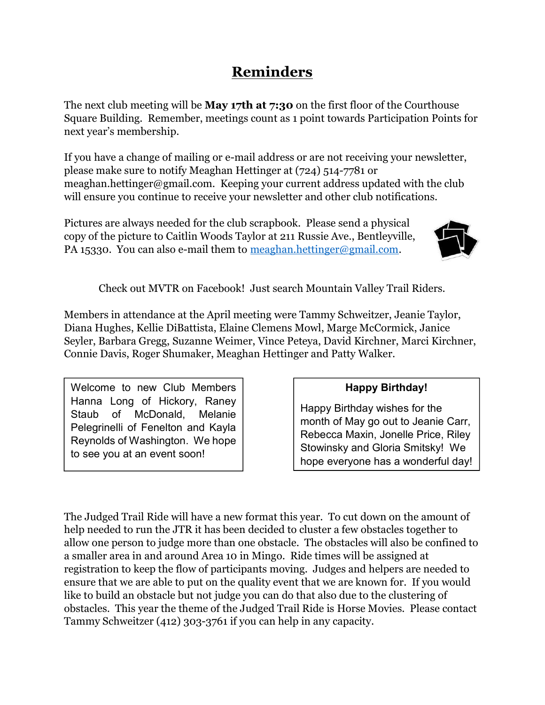## Reminders

The next club meeting will be **May 17th at 7:30** on the first floor of the Courthouse Square Building. Remember, meetings count as 1 point towards Participation Points for next year's membership.

If you have a change of mailing or e-mail address or are not receiving your newsletter, please make sure to notify Meaghan Hettinger at (724) 514-7781 or meaghan.hettinger@gmail.com. Keeping your current address updated with the club will ensure you continue to receive your newsletter and other club notifications.

Pictures are always needed for the club scrapbook. Please send a physical copy of the picture to Caitlin Woods Taylor at 211 Russie Ave., Bentleyville, PA 15330. You can also e-mail them to meaghan.hettinger@gmail.com.



Check out MVTR on Facebook! Just search Mountain Valley Trail Riders.

Members in attendance at the April meeting were Tammy Schweitzer, Jeanie Taylor, Diana Hughes, Kellie DiBattista, Elaine Clemens Mowl, Marge McCormick, Janice Seyler, Barbara Gregg, Suzanne Weimer, Vince Peteya, David Kirchner, Marci Kirchner, Connie Davis, Roger Shumaker, Meaghan Hettinger and Patty Walker.

Welcome to new Club Members Hanna Long of Hickory, Raney Staub of McDonald, Melanie Pelegrinelli of Fenelton and Kayla Reynolds of Washington. We hope to see you at an event soon!

#### Happy Birthday!

Happy Birthday wishes for the month of May go out to Jeanie Carr, Rebecca Maxin, Jonelle Price, Riley Stowinsky and Gloria Smitsky! We hope everyone has a wonderful day!

The Judged Trail Ride will have a new format this year. To cut down on the amount of help needed to run the JTR it has been decided to cluster a few obstacles together to allow one person to judge more than one obstacle. The obstacles will also be confined to a smaller area in and around Area 10 in Mingo. Ride times will be assigned at registration to keep the flow of participants moving. Judges and helpers are needed to ensure that we are able to put on the quality event that we are known for. If you would like to build an obstacle but not judge you can do that also due to the clustering of obstacles. This year the theme of the Judged Trail Ride is Horse Movies. Please contact Tammy Schweitzer (412) 303-3761 if you can help in any capacity.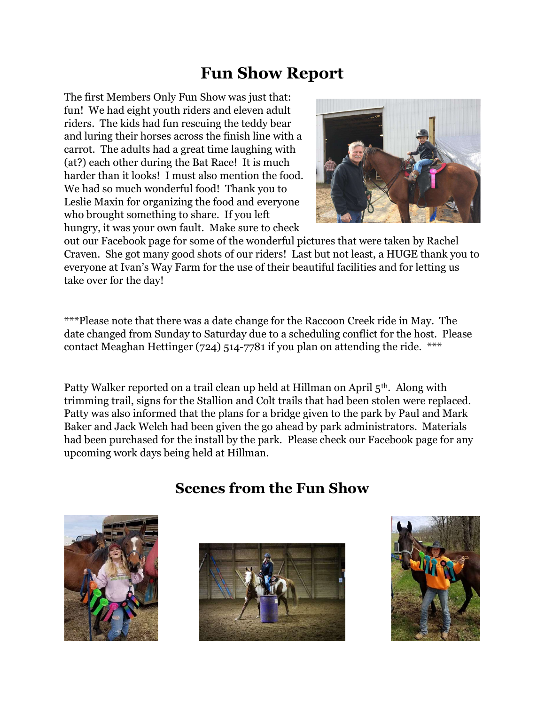## Fun Show Report

The first Members Only Fun Show was just that: fun! We had eight youth riders and eleven adult riders. The kids had fun rescuing the teddy bear and luring their horses across the finish line with a carrot. The adults had a great time laughing with (at?) each other during the Bat Race! It is much harder than it looks! I must also mention the food. We had so much wonderful food! Thank you to Leslie Maxin for organizing the food and everyone who brought something to share. If you left hungry, it was your own fault. Make sure to check



out our Facebook page for some of the wonderful pictures that were taken by Rachel Craven. She got many good shots of our riders! Last but not least, a HUGE thank you to everyone at Ivan's Way Farm for the use of their beautiful facilities and for letting us take over for the day!

\*\*\*Please note that there was a date change for the Raccoon Creek ride in May. The date changed from Sunday to Saturday due to a scheduling conflict for the host. Please contact Meaghan Hettinger (724) 514-7781 if you plan on attending the ride. \*\*\*

Patty Walker reported on a trail clean up held at Hillman on April 5th. Along with trimming trail, signs for the Stallion and Colt trails that had been stolen were replaced. Patty was also informed that the plans for a bridge given to the park by Paul and Mark Baker and Jack Welch had been given the go ahead by park administrators. Materials had been purchased for the install by the park. Please check our Facebook page for any upcoming work days being held at Hillman.

### Scenes from the Fun Show